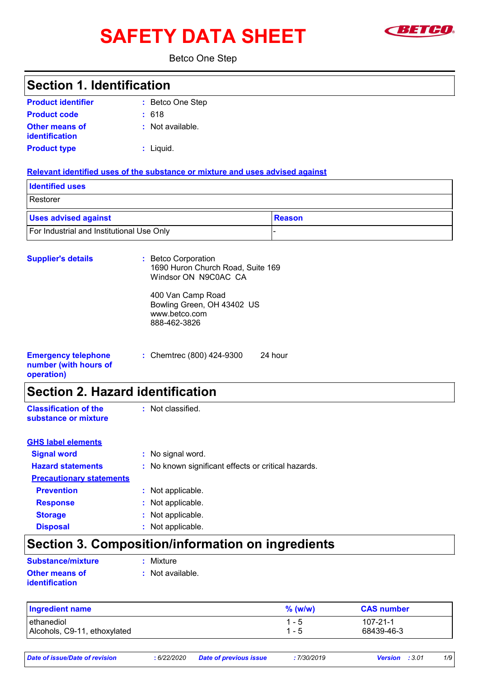# **SAFETY DATA SHEET Example 1**



Betco One Step

### **:** Betco One Step **:** Not available. **:** Liquid. Chemtrec (800) 424-9300 24 hour **: Product identifier Other means of identification Product type Emergency telephone number (with hours of operation) Section 1. Identification Supplier's details :** Betco Corporation 1690 Huron Church Road, Suite 169 Windsor ON N9C0AC CA 400 Van Camp Road Bowling Green, OH 43402 US www.betco.com 888-462-3826 **Relevant identified uses of the substance or mixture and uses advised against** Restorer **Identified uses Example 3 Alle Section 2 Alle Section 2 Alle Section 2 Alle Section 2 Alle Section 2 Alle Section 2 Alle Section 2 Alle Section 2 Alle Section 2 Alle Section 2 Alle Section 2 Alle Section 2 Alle Section 2 Alle Section 2 A Product code :** 618 **Section 2. Hazard identification Classification of the substance or mixture** : Not classified. **Signal word :** No signal word. **Hazard statements :** No known significant effects or critical hazards. **Precautionary statements Prevention :** Not applicable. **Response :** Not applicable. **Storage :** Not applicable. **Disposal :** Not applicable. **GHS label elements Section 3. Composition/information on ingredients Substance/mixture :** Mixture

| <b>Other means of</b> |  |
|-----------------------|--|
| identification        |  |

**:** Not available.

| <b>Ingredient name</b>       | $%$ (w/w) | <b>CAS number</b> |
|------------------------------|-----------|-------------------|
| l ethanediol                 |           | $107 - 21 - 1$    |
| Alcohols, C9-11, ethoxylated |           | 68439-46-3        |

*Date of issue/Date of revision* **:** *6/22/2020 Date of previous issue : 7/30/2019 Version : 3.01 1/9*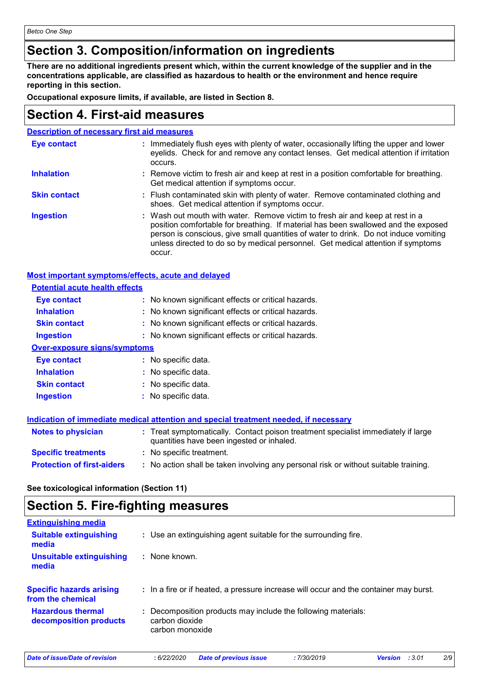### **Section 3. Composition/information on ingredients**

**There are no additional ingredients present which, within the current knowledge of the supplier and in the concentrations applicable, are classified as hazardous to health or the environment and hence require reporting in this section.**

**Occupational exposure limits, if available, are listed in Section 8.**

### **Section 4. First-aid measures**

| <b>Description of necessary first aid measures</b> |  |  |  |
|----------------------------------------------------|--|--|--|
|                                                    |  |  |  |

| <b>Eye contact</b>  | : Immediately flush eyes with plenty of water, occasionally lifting the upper and lower<br>eyelids. Check for and remove any contact lenses. Get medical attention if irritation<br>occurs.                                                                                                                                                               |
|---------------------|-----------------------------------------------------------------------------------------------------------------------------------------------------------------------------------------------------------------------------------------------------------------------------------------------------------------------------------------------------------|
| <b>Inhalation</b>   | : Remove victim to fresh air and keep at rest in a position comfortable for breathing.<br>Get medical attention if symptoms occur.                                                                                                                                                                                                                        |
| <b>Skin contact</b> | : Flush contaminated skin with plenty of water. Remove contaminated clothing and<br>shoes. Get medical attention if symptoms occur.                                                                                                                                                                                                                       |
| <b>Ingestion</b>    | : Wash out mouth with water. Remove victim to fresh air and keep at rest in a<br>position comfortable for breathing. If material has been swallowed and the exposed<br>person is conscious, give small quantities of water to drink. Do not induce vomiting<br>unless directed to do so by medical personnel. Get medical attention if symptoms<br>occur. |

| Most important symptoms/effects, acute and delayed |
|----------------------------------------------------|
|----------------------------------------------------|

| <b>Potential acute health effects</b> |                                                                                                                                |
|---------------------------------------|--------------------------------------------------------------------------------------------------------------------------------|
| <b>Eye contact</b>                    | : No known significant effects or critical hazards.                                                                            |
| <b>Inhalation</b>                     | : No known significant effects or critical hazards.                                                                            |
| <b>Skin contact</b>                   | : No known significant effects or critical hazards.                                                                            |
| <b>Ingestion</b>                      | : No known significant effects or critical hazards.                                                                            |
| <b>Over-exposure signs/symptoms</b>   |                                                                                                                                |
| Eye contact                           | : No specific data.                                                                                                            |
| <b>Inhalation</b>                     | : No specific data.                                                                                                            |
| <b>Skin contact</b>                   | : No specific data.                                                                                                            |
| <b>Ingestion</b>                      | : No specific data.                                                                                                            |
|                                       | Indication of immediate medical attention and special treatment needed, if necessary                                           |
| <b>Notes to physician</b>             | : Treat symptomatically. Contact poison treatment specialist immediately if large<br>quantities have been ingested or inhaled. |
| <b>Specific treatments</b>            | : No specific treatment.                                                                                                       |
| <b>Protection of first-aiders</b>     | : No action shall be taken involving any personal risk or without suitable training.                                           |

**See toxicological information (Section 11)**

### **Section 5. Fire-fighting measures**

| <b>Extinguishing media</b>                           |                                                                                                    |
|------------------------------------------------------|----------------------------------------------------------------------------------------------------|
| <b>Suitable extinguishing</b><br>media               | : Use an extinguishing agent suitable for the surrounding fire.                                    |
| <b>Unsuitable extinguishing</b><br>media             | $:$ None known.                                                                                    |
| <b>Specific hazards arising</b><br>from the chemical | : In a fire or if heated, a pressure increase will occur and the container may burst.              |
| <b>Hazardous thermal</b><br>decomposition products   | : Decomposition products may include the following materials:<br>carbon dioxide<br>carbon monoxide |

*Date of issue/Date of revision* **:** *6/22/2020 Date of previous issue : 7/30/2019 Version : 3.01 2/9*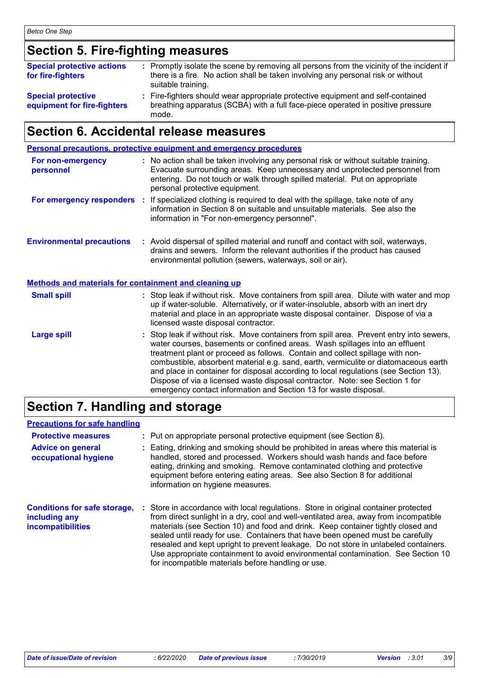### **Section 5. Fire-fighting measures**

| <b>Special protective actions</b><br>for fire-fighters   | : Promptly isolate the scene by removing all persons from the vicinity of the incident if<br>there is a fire. No action shall be taken involving any personal risk or without<br>suitable training. |
|----------------------------------------------------------|-----------------------------------------------------------------------------------------------------------------------------------------------------------------------------------------------------|
| <b>Special protective</b><br>equipment for fire-fighters | : Fire-fighters should wear appropriate protective equipment and self-contained<br>breathing apparatus (SCBA) with a full face-piece operated in positive pressure<br>mode.                         |

### **Section 6. Accidental release measures**

|                                                              | Personal precautions, protective equipment and emergency procedures                                                                                                                                                                                                                                                                                                                                                                                                                                                                                                                         |
|--------------------------------------------------------------|---------------------------------------------------------------------------------------------------------------------------------------------------------------------------------------------------------------------------------------------------------------------------------------------------------------------------------------------------------------------------------------------------------------------------------------------------------------------------------------------------------------------------------------------------------------------------------------------|
| For non-emergency<br>personnel                               | : No action shall be taken involving any personal risk or without suitable training.<br>Evacuate surrounding areas. Keep unnecessary and unprotected personnel from<br>entering. Do not touch or walk through spilled material. Put on appropriate<br>personal protective equipment.                                                                                                                                                                                                                                                                                                        |
|                                                              | For emergency responders : If specialized clothing is required to deal with the spillage, take note of any<br>information in Section 8 on suitable and unsuitable materials. See also the<br>information in "For non-emergency personnel".                                                                                                                                                                                                                                                                                                                                                  |
| <b>Environmental precautions</b>                             | : Avoid dispersal of spilled material and runoff and contact with soil, waterways,<br>drains and sewers. Inform the relevant authorities if the product has caused<br>environmental pollution (sewers, waterways, soil or air).                                                                                                                                                                                                                                                                                                                                                             |
| <b>Methods and materials for containment and cleaning up</b> |                                                                                                                                                                                                                                                                                                                                                                                                                                                                                                                                                                                             |
| <b>Small spill</b>                                           | : Stop leak if without risk. Move containers from spill area. Dilute with water and mop<br>up if water-soluble. Alternatively, or if water-insoluble, absorb with an inert dry<br>material and place in an appropriate waste disposal container. Dispose of via a<br>licensed waste disposal contractor.                                                                                                                                                                                                                                                                                    |
| <b>Large spill</b>                                           | : Stop leak if without risk. Move containers from spill area. Prevent entry into sewers,<br>water courses, basements or confined areas. Wash spillages into an effluent<br>treatment plant or proceed as follows. Contain and collect spillage with non-<br>combustible, absorbent material e.g. sand, earth, vermiculite or diatomaceous earth<br>and place in container for disposal according to local regulations (see Section 13).<br>Dispose of via a licensed waste disposal contractor. Note: see Section 1 for<br>emergency contact information and Section 13 for waste disposal. |

### **Section 7. Handling and storage**

| <b>Precautions for safe handling</b>                                             |                                                                                                                                                                                                                                                                                                                                                                                                                                                                                                                                                                                    |
|----------------------------------------------------------------------------------|------------------------------------------------------------------------------------------------------------------------------------------------------------------------------------------------------------------------------------------------------------------------------------------------------------------------------------------------------------------------------------------------------------------------------------------------------------------------------------------------------------------------------------------------------------------------------------|
| <b>Protective measures</b>                                                       | : Put on appropriate personal protective equipment (see Section 8).                                                                                                                                                                                                                                                                                                                                                                                                                                                                                                                |
| <b>Advice on general</b><br>occupational hygiene                                 | : Eating, drinking and smoking should be prohibited in areas where this material is<br>handled, stored and processed. Workers should wash hands and face before<br>eating, drinking and smoking. Remove contaminated clothing and protective<br>equipment before entering eating areas. See also Section 8 for additional<br>information on hygiene measures.                                                                                                                                                                                                                      |
| <b>Conditions for safe storage,</b><br>including any<br><b>incompatibilities</b> | : Store in accordance with local regulations. Store in original container protected<br>from direct sunlight in a dry, cool and well-ventilated area, away from incompatible<br>materials (see Section 10) and food and drink. Keep container tightly closed and<br>sealed until ready for use. Containers that have been opened must be carefully<br>resealed and kept upright to prevent leakage. Do not store in unlabeled containers.<br>Use appropriate containment to avoid environmental contamination. See Section 10<br>for incompatible materials before handling or use. |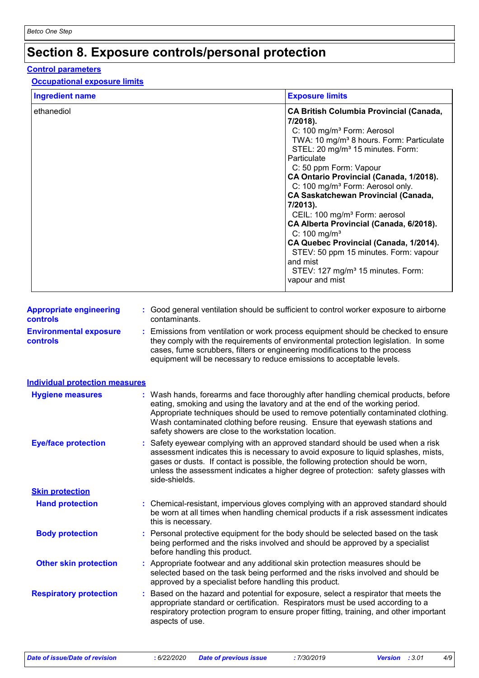# **Section 8. Exposure controls/personal protection**

#### **Control parameters**

#### **Occupational exposure limits**

| <b>Ingredient name</b>                            |    |                                                                                                                                                     | <b>Exposure limits</b>                                                                                                                                                                                                                                                                                                                                                                                                                                                                                                                                                                                                                                                                              |
|---------------------------------------------------|----|-----------------------------------------------------------------------------------------------------------------------------------------------------|-----------------------------------------------------------------------------------------------------------------------------------------------------------------------------------------------------------------------------------------------------------------------------------------------------------------------------------------------------------------------------------------------------------------------------------------------------------------------------------------------------------------------------------------------------------------------------------------------------------------------------------------------------------------------------------------------------|
| ethanediol                                        |    |                                                                                                                                                     | <b>CA British Columbia Provincial (Canada,</b><br>7/2018).<br>C: 100 mg/m <sup>3</sup> Form: Aerosol<br>TWA: 10 mg/m <sup>3</sup> 8 hours. Form: Particulate<br>STEL: 20 mg/m <sup>3</sup> 15 minutes. Form:<br>Particulate<br>C: 50 ppm Form: Vapour<br>CA Ontario Provincial (Canada, 1/2018).<br>C: 100 mg/m <sup>3</sup> Form: Aerosol only.<br><b>CA Saskatchewan Provincial (Canada,</b><br>7/2013).<br>CEIL: 100 mg/m <sup>3</sup> Form: aerosol<br>CA Alberta Provincial (Canada, 6/2018).<br>$C: 100$ mg/m <sup>3</sup><br>CA Quebec Provincial (Canada, 1/2014).<br>STEV: 50 ppm 15 minutes. Form: vapour<br>and mist<br>STEV: 127 mg/m <sup>3</sup> 15 minutes. Form:<br>vapour and mist |
| <b>Appropriate engineering</b><br><b>controls</b> |    | contaminants.                                                                                                                                       | : Good general ventilation should be sufficient to control worker exposure to airborne                                                                                                                                                                                                                                                                                                                                                                                                                                                                                                                                                                                                              |
| <b>Environmental exposure</b><br><b>controls</b>  |    | cases, fume scrubbers, filters or engineering modifications to the process<br>equipment will be necessary to reduce emissions to acceptable levels. | Emissions from ventilation or work process equipment should be checked to ensure<br>they comply with the requirements of environmental protection legislation. In some                                                                                                                                                                                                                                                                                                                                                                                                                                                                                                                              |
| <b>Individual protection measures</b>             |    |                                                                                                                                                     |                                                                                                                                                                                                                                                                                                                                                                                                                                                                                                                                                                                                                                                                                                     |
| <b>Hygiene measures</b>                           |    | safety showers are close to the workstation location.                                                                                               | : Wash hands, forearms and face thoroughly after handling chemical products, before<br>eating, smoking and using the lavatory and at the end of the working period.<br>Appropriate techniques should be used to remove potentially contaminated clothing.<br>Wash contaminated clothing before reusing. Ensure that eyewash stations and                                                                                                                                                                                                                                                                                                                                                            |
| <b>Eye/face protection</b>                        |    | side-shields.                                                                                                                                       | : Safety eyewear complying with an approved standard should be used when a risk<br>assessment indicates this is necessary to avoid exposure to liquid splashes, mists,<br>gases or dusts. If contact is possible, the following protection should be worn,<br>unless the assessment indicates a higher degree of protection: safety glasses with                                                                                                                                                                                                                                                                                                                                                    |
| <b>Skin protection</b>                            |    |                                                                                                                                                     |                                                                                                                                                                                                                                                                                                                                                                                                                                                                                                                                                                                                                                                                                                     |
| <b>Hand protection</b>                            |    | this is necessary.                                                                                                                                  | : Chemical-resistant, impervious gloves complying with an approved standard should<br>be worn at all times when handling chemical products if a risk assessment indicates                                                                                                                                                                                                                                                                                                                                                                                                                                                                                                                           |
| <b>Body protection</b>                            |    | before handling this product.                                                                                                                       | Personal protective equipment for the body should be selected based on the task<br>being performed and the risks involved and should be approved by a specialist                                                                                                                                                                                                                                                                                                                                                                                                                                                                                                                                    |
| <b>Other skin protection</b>                      |    | approved by a specialist before handling this product.                                                                                              | Appropriate footwear and any additional skin protection measures should be<br>selected based on the task being performed and the risks involved and should be                                                                                                                                                                                                                                                                                                                                                                                                                                                                                                                                       |
| <b>Respiratory protection</b>                     | ÷. | aspects of use.                                                                                                                                     | Based on the hazard and potential for exposure, select a respirator that meets the<br>appropriate standard or certification. Respirators must be used according to a<br>respiratory protection program to ensure proper fitting, training, and other important                                                                                                                                                                                                                                                                                                                                                                                                                                      |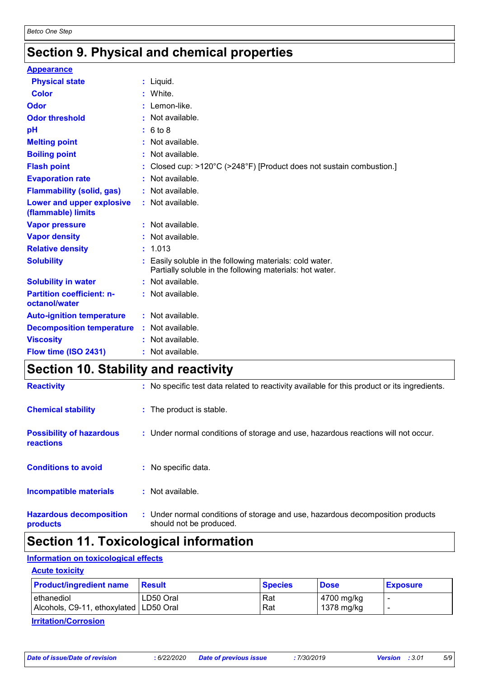### **Section 9. Physical and chemical properties**

| <b>Appearance</b>                                 |                                                                                                                    |
|---------------------------------------------------|--------------------------------------------------------------------------------------------------------------------|
| <b>Physical state</b>                             | $:$ Liquid.                                                                                                        |
| <b>Color</b>                                      | : White.                                                                                                           |
| Odor                                              | $:$ Lemon-like.                                                                                                    |
| <b>Odor threshold</b>                             | $\cdot$ Not available.                                                                                             |
| pH                                                | : 6 to 8                                                                                                           |
| <b>Melting point</b>                              | : Not available.                                                                                                   |
| <b>Boiling point</b>                              | : Not available.                                                                                                   |
| <b>Flash point</b>                                | : Closed cup: $>120^{\circ}$ C ( $>248^{\circ}$ F) [Product does not sustain combustion.]                          |
| <b>Evaporation rate</b>                           | : Not available.                                                                                                   |
| <b>Flammability (solid, gas)</b>                  | : Not available.                                                                                                   |
| Lower and upper explosive<br>(flammable) limits   | : Not available.                                                                                                   |
| <b>Vapor pressure</b>                             | : Not available.                                                                                                   |
| <b>Vapor density</b>                              | : Not available.                                                                                                   |
| <b>Relative density</b>                           | : 1.013                                                                                                            |
| <b>Solubility</b>                                 | Easily soluble in the following materials: cold water.<br>Partially soluble in the following materials: hot water. |
| <b>Solubility in water</b>                        | : Not available.                                                                                                   |
| <b>Partition coefficient: n-</b><br>octanol/water | : Not available.                                                                                                   |
| <b>Auto-ignition temperature</b>                  | : Not available.                                                                                                   |
| <b>Decomposition temperature</b>                  | $:$ Not available.                                                                                                 |
| <b>Viscosity</b>                                  | : Not available.                                                                                                   |
| Flow time (ISO 2431)                              | Not available.                                                                                                     |

### **Section 10. Stability and reactivity**

| <b>Reactivity</b>                                   | : No specific test data related to reactivity available for this product or its ingredients.              |
|-----------------------------------------------------|-----------------------------------------------------------------------------------------------------------|
| <b>Chemical stability</b>                           | : The product is stable.                                                                                  |
| <b>Possibility of hazardous</b><br><b>reactions</b> | : Under normal conditions of storage and use, hazardous reactions will not occur.                         |
| <b>Conditions to avoid</b>                          | : No specific data.                                                                                       |
| <b>Incompatible materials</b>                       | $:$ Not available.                                                                                        |
| <b>Hazardous decomposition</b><br>products          | : Under normal conditions of storage and use, hazardous decomposition products<br>should not be produced. |
|                                                     |                                                                                                           |

### **Section 11. Toxicological information**

#### **Information on toxicological effects**

#### **Acute toxicity**

| <b>Product/ingredient name</b>           | <b>Result</b> | <b>Species</b> | <b>Dose</b> | <b>Exposure</b> |
|------------------------------------------|---------------|----------------|-------------|-----------------|
| ethanediol                               | LD50 Oral     | Rat            | 4700 mg/kg  |                 |
| Alcohols, C9-11, ethoxylated   LD50 Oral |               | Rat            | 1378 mg/kg  |                 |

**Irritation/Corrosion**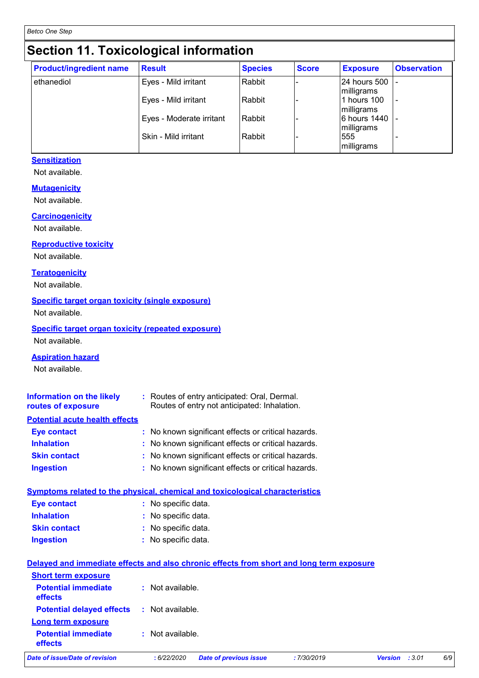# **Section 11. Toxicological information**

| <b>Product/ingredient name</b> | <b>Result</b>            | <b>Species</b> | <b>Score</b> | <b>Exposure</b>            | <b>Observation</b> |
|--------------------------------|--------------------------|----------------|--------------|----------------------------|--------------------|
| ethanediol                     | Eyes - Mild irritant     | Rabbit         |              | 24 hours 500<br>milligrams |                    |
|                                | Eyes - Mild irritant     | Rabbit         |              | 1 hours 100<br>milligrams  |                    |
|                                | Eyes - Moderate irritant | Rabbit         |              | 6 hours 1440<br>milligrams |                    |
|                                | Skin - Mild irritant     | Rabbit         |              | 555<br>milligrams          |                    |

#### **Sensitization**

Not available.

#### **Mutagenicity**

Not available.

#### **Carcinogenicity**

Not available.

#### **Reproductive toxicity**

Not available.

#### **Teratogenicity**

Not available.

#### **Specific target organ toxicity (single exposure)**

Not available.

#### **Specific target organ toxicity (repeated exposure)** Not available.

#### **Aspiration hazard**

Not available.

| <b>Information on the likely</b><br>routes of exposure | : Routes of entry anticipated: Oral, Dermal.<br>Routes of entry not anticipated: Inhalation. |
|--------------------------------------------------------|----------------------------------------------------------------------------------------------|
| <b>Potential acute health effects</b>                  |                                                                                              |
| <b>Eye contact</b>                                     | : No known significant effects or critical hazards.                                          |
| <b>Inhalation</b>                                      | : No known significant effects or critical hazards.                                          |
| <b>Skin contact</b>                                    | : No known significant effects or critical hazards.                                          |
| <b>Ingestion</b>                                       | : No known significant effects or critical hazards.                                          |

#### **Symptoms related to the physical, chemical and toxicological characteristics**

| Eye contact         | : No specific data. |
|---------------------|---------------------|
| <b>Inhalation</b>   | : No specific data. |
| <b>Skin contact</b> | : No specific data. |
| <b>Ingestion</b>    | : No specific data. |

|                                                                            | Delayed and immediate effects and also chronic effects from short and long term exposure |                                              |
|----------------------------------------------------------------------------|------------------------------------------------------------------------------------------|----------------------------------------------|
| <b>Short term exposure</b><br><b>Potential immediate</b><br><b>effects</b> | : Not available.                                                                         |                                              |
| <b>Potential delayed effects</b><br>Long term exposure                     | : Not available.                                                                         |                                              |
| <b>Potential immediate</b><br>effects                                      | : Not available.                                                                         |                                              |
| Date of issue/Date of revision                                             | <b>Date of previous issue</b><br>: 6/22/2020                                             | 6/9<br>:7/30/2019<br>:3.01<br><b>Version</b> |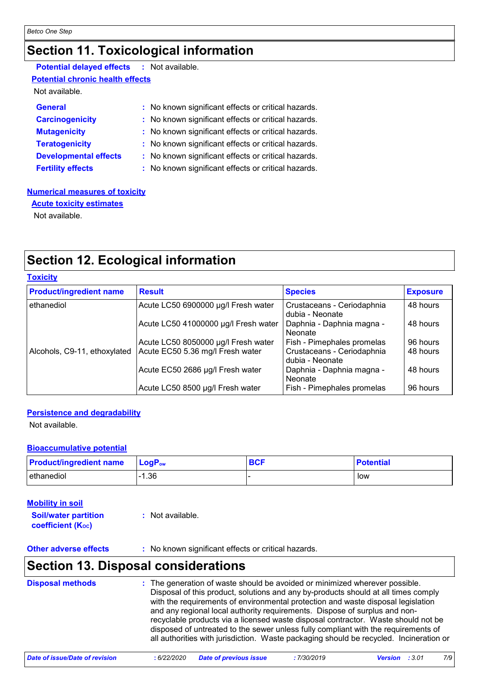## **Section 11. Toxicological information**

| <b>Potential delayed effects : Not available.</b> |                                                     |
|---------------------------------------------------|-----------------------------------------------------|
| <b>Potential chronic health effects</b>           |                                                     |
| Not available.                                    |                                                     |
| General                                           | : No known significant effects or critical hazards. |
| <b>Carcinogenicity</b>                            | : No known significant effects or critical hazards. |
| <b>Mutagenicity</b>                               | : No known significant effects or critical hazards. |
| <b>Teratogenicity</b>                             | : No known significant effects or critical hazards. |
| <b>Developmental effects</b>                      | : No known significant effects or critical hazards. |
| <b>Fertility effects</b>                          | : No known significant effects or critical hazards. |
|                                                   |                                                     |

#### **Numerical measures of toxicity**

**Acute toxicity estimates**

Not available.

### **Section 12. Ecological information**

#### **Toxicity**

| <b>Product/ingredient name</b> | <b>Result</b>                        | <b>Species</b>                                | <b>Exposure</b> |
|--------------------------------|--------------------------------------|-----------------------------------------------|-----------------|
| ethanediol                     | Acute LC50 6900000 µg/l Fresh water  | Crustaceans - Ceriodaphnia<br>dubia - Neonate | 48 hours        |
|                                | Acute LC50 41000000 µg/l Fresh water | Daphnia - Daphnia magna -<br>Neonate          | 48 hours        |
|                                | Acute LC50 8050000 µg/l Fresh water  | Fish - Pimephales promelas                    | 96 hours        |
| Alcohols, C9-11, ethoxylated   | Acute EC50 5.36 mg/l Fresh water     | Crustaceans - Ceriodaphnia<br>dubia - Neonate | 48 hours        |
|                                | Acute EC50 2686 µg/l Fresh water     | Daphnia - Daphnia magna -<br>Neonate          | 48 hours        |
|                                | Acute LC50 8500 µg/l Fresh water     | Fish - Pimephales promelas                    | 96 hours        |

#### **Persistence and degradability**

Not available.

#### **Bioaccumulative potential**

| <b>Product/ingredient name</b> | $ $ LogP <sub>ow</sub> | <b>DAI</b> | <b>Potential</b> |
|--------------------------------|------------------------|------------|------------------|
| ethanediol                     | .36                    |            | low              |

| <b>Mobility in soil</b><br><b>Soil/water partition</b><br><b>coefficient (Koc)</b> | : Not available.                                    |
|------------------------------------------------------------------------------------|-----------------------------------------------------|
| <b>Other adverse effects</b>                                                       | : No known significant effects or critical hazards. |

### **Section 13. Disposal considerations**

| <b>Disposal methods</b> | : The generation of waste should be avoided or minimized wherever possible.<br>Disposal of this product, solutions and any by-products should at all times comply<br>with the requirements of environmental protection and waste disposal legislation<br>and any regional local authority requirements. Dispose of surplus and non-<br>recyclable products via a licensed waste disposal contractor. Waste should not be<br>disposed of untreated to the sewer unless fully compliant with the requirements of |
|-------------------------|----------------------------------------------------------------------------------------------------------------------------------------------------------------------------------------------------------------------------------------------------------------------------------------------------------------------------------------------------------------------------------------------------------------------------------------------------------------------------------------------------------------|
|                         | all authorities with jurisdiction. Waste packaging should be recycled. Incineration or                                                                                                                                                                                                                                                                                                                                                                                                                         |

*Date of issue/Date of revision* **:** *6/22/2020 Date of previous issue : 7/30/2019 Version : 3.01 7/9*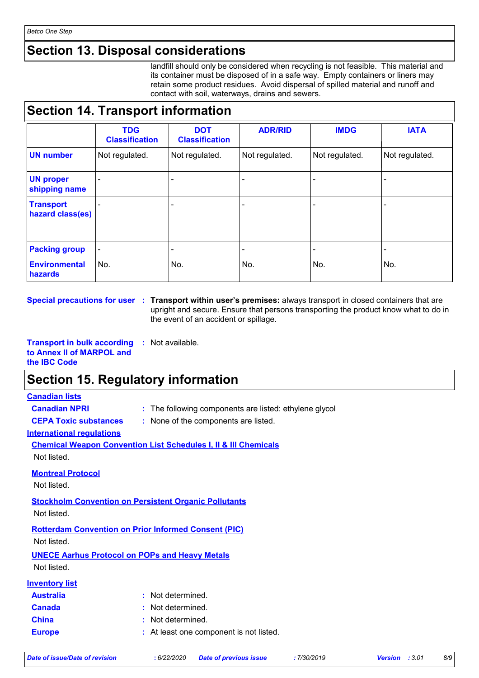### **Section 13. Disposal considerations**

landfill should only be considered when recycling is not feasible. This material and its container must be disposed of in a safe way. Empty containers or liners may retain some product residues. Avoid dispersal of spilled material and runoff and contact with soil, waterways, drains and sewers.

### **Section 14. Transport information**

|                                      | <b>TDG</b><br><b>Classification</b> | <b>DOT</b><br><b>Classification</b> | <b>ADR/RID</b> | <b>IMDG</b>    | <b>IATA</b>              |
|--------------------------------------|-------------------------------------|-------------------------------------|----------------|----------------|--------------------------|
| <b>UN number</b>                     | Not regulated.                      | Not regulated.                      | Not regulated. | Not regulated. | Not regulated.           |
| <b>UN proper</b><br>shipping name    | $\overline{\phantom{0}}$            |                                     |                |                |                          |
| <b>Transport</b><br>hazard class(es) |                                     |                                     |                |                |                          |
| <b>Packing group</b>                 | $\blacksquare$                      | -                                   |                | -              | $\overline{\phantom{0}}$ |
| <b>Environmental</b><br>hazards      | No.                                 | No.                                 | No.            | No.            | No.                      |

**Special precautions for user** : Transport within user's premises: always transport in closed containers that are upright and secure. Ensure that persons transporting the product know what to do in the event of an accident or spillage.

**Transport in bulk according to Annex II of MARPOL and the IBC Code :** Not available.

### **Section 15. Regulatory information**

#### **Canadian lists**

- **Canadian NPRI :** The following components are listed: ethylene glycol
- **CEPA Toxic substances :** None of the components are listed.

#### **International regulations**

**Chemical Weapon Convention List Schedules I, II & III Chemicals** Not listed.

**Montreal Protocol**

Not listed.

**Stockholm Convention on Persistent Organic Pollutants**

Not listed.

**Rotterdam Convention on Prior Informed Consent (PIC)**

Not listed.

**UNECE Aarhus Protocol on POPs and Heavy Metals**

Not listed.

| <b>Inventory list</b> |                                         |
|-----------------------|-----------------------------------------|
| <b>Australia</b>      | : Not determined.                       |
| <b>Canada</b>         | : Not determined.                       |
| <b>China</b>          | : Not determined.                       |
| <b>Europe</b>         | : At least one component is not listed. |